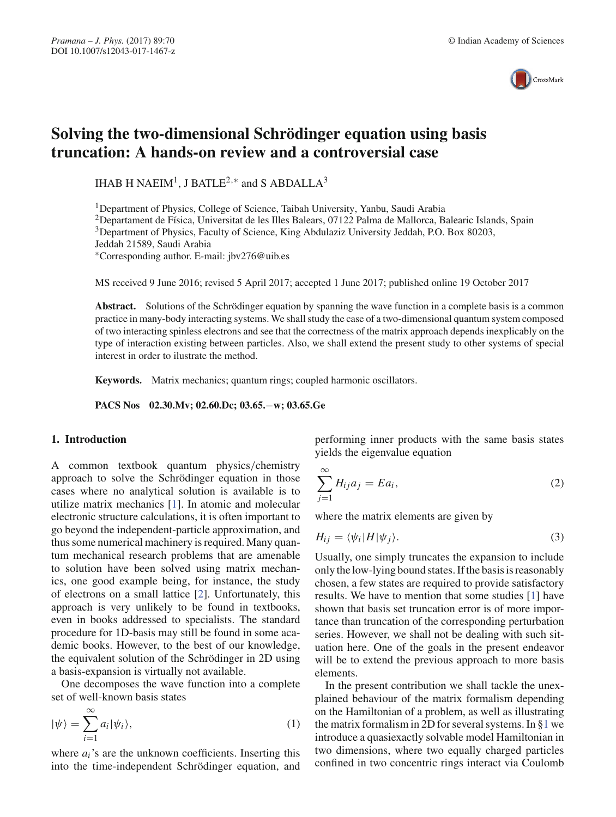

# **Solving the two-dimensional Schrödinger equation using basis truncation: A hands-on review and a controversial case**

IHAB H NAEIM<sup>1</sup>, J BATLE<sup>2,\*</sup> and S ABDALLA<sup>3</sup>

1Department of Physics, College of Science, Taibah University, Yanbu, Saudi Arabia

<sup>2</sup>Departament de Física, Universitat de les Illes Balears, 07122 Palma de Mallorca, Balearic Islands, Spain

<sup>3</sup>Department of Physics, Faculty of Science, King Abdulaziz University Jeddah, P.O. Box 80203,

Jeddah 21589, Saudi Arabia

∗Corresponding author. E-mail: jbv276@uib.es

MS received 9 June 2016; revised 5 April 2017; accepted 1 June 2017; published online 19 October 2017

**Abstract.** Solutions of the Schrödinger equation by spanning the wave function in a complete basis is a common practice in many-body interacting systems. We shall study the case of a two-dimensional quantum system composed of two interacting spinless electrons and see that the correctness of the matrix approach depends inexplicably on the type of interaction existing between particles. Also, we shall extend the present study to other systems of special interest in order to ilustrate the method.

**Keywords.** Matrix mechanics; quantum rings; coupled harmonic oscillators.

**PACS Nos 02.30.Mv; 02.60.Dc; 03.65.**−**w; 03.65.Ge**

## **1. Introduction**

A common textbook quantum physics/chemistry approach to solve the Schrödinger equation in those cases where no analytical solution is available is to utilize matrix mechanics [1]. In atomic and molecular electronic structure calculations, it is often important to go beyond the independent-particle approximation, and thus some numerical machinery is required. Many quantum mechanical research problems that are amenable to solution have been solved using matrix mechanics, one good example being, for instance, the study of electrons on a small lattice [2]. Unfortunately, this approach is very unlikely to be found in textbooks, even in books addressed to specialists. The standard procedure for 1D-basis may still be found in some academic books. However, to the best of our knowledge, the equivalent solution of the Schrödinger in 2D using a basis-expansion is virtually not available.

One decomposes the wave function into a complete set of well-known basis states

$$
|\psi\rangle = \sum_{i=1}^{\infty} a_i |\psi_i\rangle, \tag{1}
$$

where  $a_i$ 's are the unknown coefficients. Inserting this into the time-independent Schrödinger equation, and performing inner products with the same basis states yields the eigenvalue equation

$$
\sum_{j=1}^{\infty} H_{ij} a_j = E a_i,
$$
\n(2)

where the matrix elements are given by

$$
H_{ij} = \langle \psi_i | H | \psi_j \rangle. \tag{3}
$$

Usually, one simply truncates the expansion to include only the low-lying bound states. If the basis is reasonably chosen, a few states are required to provide satisfactory results. We have to mention that some studies [1] have shown that basis set truncation error is of more importance than truncation of the corresponding perturbation series. However, we shall not be dealing with such situation here. One of the goals in the present endeavor will be to extend the previous approach to more basis elements.

In the present contribution we shall tackle the unexplained behaviour of the matrix formalism depending on the Hamiltonian of a problem, as well as illustrating the matrix formalism in 2D for several systems. In §1 we introduce a quasiexactly solvable model Hamiltonian in two dimensions, where two equally charged particles confined in two concentric rings interact via Coulomb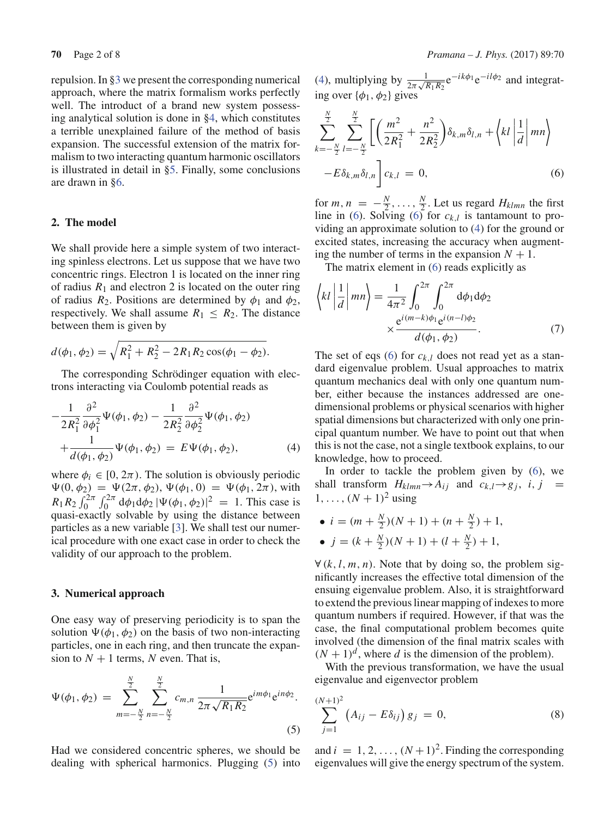repulsion. In §3 we present the corresponding numerical approach, where the matrix formalism works perfectly well. The introduct of a brand new system possessing analytical solution is done in §4, which constitutes a terrible unexplained failure of the method of basis expansion. The successful extension of the matrix formalism to two interacting quantum harmonic oscillators is illustrated in detail in §5. Finally, some conclusions are drawn in §6.

#### **2. The model**

We shall provide here a simple system of two interacting spinless electrons. Let us suppose that we have two concentric rings. Electron 1 is located on the inner ring of radius  $R_1$  and electron 2 is located on the outer ring of radius  $R_2$ . Positions are determined by  $\phi_1$  and  $\phi_2$ , respectively. We shall assume  $R_1 \leq R_2$ . The distance between them is given by

$$
d(\phi_1, \phi_2) = \sqrt{R_1^2 + R_2^2 - 2R_1R_2\cos(\phi_1 - \phi_2)}.
$$

The corresponding Schrödinger equation with electrons interacting via Coulomb potential reads as

$$
-\frac{1}{2R_1^2} \frac{\partial^2}{\partial \phi_1^2} \Psi(\phi_1, \phi_2) - \frac{1}{2R_2^2} \frac{\partial^2}{\partial \phi_2^2} \Psi(\phi_1, \phi_2) + \frac{1}{d(\phi_1, \phi_2)} \Psi(\phi_1, \phi_2) = E \Psi(\phi_1, \phi_2),
$$
(4)

where  $\phi_i \in [0, 2\pi)$ . The solution is obviously periodic  $\Psi(0, \phi_2) = \Psi(2\pi, \phi_2), \Psi(\phi_1, 0) = \Psi(\phi_1, 2\pi)$ , with  $R_1 R_2 \int_0^{2\pi} \int_0^{2\pi} d\phi_1 d\phi_2 |\Psi(\phi_1, \phi_2)|^2 = 1$ . This case is quasi-exactly solvable by using the distance between particles as a new variable [3]. We shall test our numerical procedure with one exact case in order to check the validity of our approach to the problem.

#### **3. Numerical approach**

One easy way of preserving periodicity is to span the solution  $\Psi(\phi_1, \phi_2)$  on the basis of two non-interacting particles, one in each ring, and then truncate the expansion to  $N + 1$  terms, N even. That is,

$$
\Psi(\phi_1, \phi_2) = \sum_{m=-\frac{N}{2}}^{\frac{N}{2}} \sum_{n=-\frac{N}{2}}^{\frac{N}{2}} c_{m,n} \frac{1}{2\pi \sqrt{R_1 R_2}} e^{im\phi_1} e^{in\phi_2}.
$$
\n(5)

Had we considered concentric spheres, we should be dealing with spherical harmonics. Plugging (5) into

(4), multiplying by  $\frac{1}{2\pi\sqrt{R_1R_2}}e^{-ik\phi_1}e^{-il\phi_2}$  and integrating over  $\{\phi_1, \phi_2\}$  gives

*N*

$$
\sum_{k=-\frac{N}{2}}^{\frac{N}{2}} \sum_{l=-\frac{N}{2}}^{\frac{N}{2}} \left[ \left( \frac{m^2}{2R_1^2} + \frac{n^2}{2R_2^2} \right) \delta_{k,m} \delta_{l,n} + \left\langle kl \left| \frac{1}{d} \right| mn \right\rangle - E \delta_{k,m} \delta_{l,n} \right] c_{k,l} = 0, \tag{6}
$$

for  $m, n = -\frac{N}{2}, \ldots, \frac{N}{2}$ . Let us regard  $H_{klmn}$  the first line in (6). Solving (6) for  $c_{k,l}$  is tantamount to providing an approximate solution to (4) for the ground or excited states, increasing the accuracy when augmenting the number of terms in the expansion  $N + 1$ .

The matrix element in (6) reads explicitly as

$$
\left\langle kl \left| \frac{1}{d} \right| mn \right\rangle = \frac{1}{4\pi^2} \int_0^{2\pi} \int_0^{2\pi} d\phi_1 d\phi_2
$$

$$
\times \frac{e^{i(m-k)\phi_1} e^{i(n-l)\phi_2}}{d(\phi_1, \phi_2)}.
$$
 (7)

The set of eqs (6) for  $c_{k,l}$  does not read yet as a standard eigenvalue problem. Usual approaches to matrix quantum mechanics deal with only one quantum number, either because the instances addressed are onedimensional problems or physical scenarios with higher spatial dimensions but characterized with only one principal quantum number. We have to point out that when this is not the case, not a single textbook explains, to our knowledge, how to proceed.

In order to tackle the problem given by (6), we shall transform  $H_{klmn} \rightarrow A_{ij}$  and  $c_{k,l} \rightarrow g_j$ , *i*, *j* =  $1, \ldots, (N + 1)^2$  using

• 
$$
i = (m + \frac{N}{2})(N + 1) + (n + \frac{N}{2}) + 1,
$$

• 
$$
j = (k + \frac{N}{2})(N + 1) + (l + \frac{N}{2}) + 1,
$$

 $\forall (k, l, m, n)$ . Note that by doing so, the problem significantly increases the effective total dimension of the ensuing eigenvalue problem. Also, it is straightforward to extend the previous linear mapping of indexes to more quantum numbers if required. However, if that was the case, the final computational problem becomes quite involved (the dimension of the final matrix scales with  $(N + 1)<sup>d</sup>$ , where *d* is the dimension of the problem).

With the previous transformation, we have the usual eigenvalue and eigenvector problem

$$
\sum_{j=1}^{(N+1)^2} \left( A_{ij} - E \delta_{ij} \right) g_j = 0, \tag{8}
$$

and  $i = 1, 2, ..., (N + 1)^2$ . Finding the corresponding eigenvalues will give the energy spectrum of the system.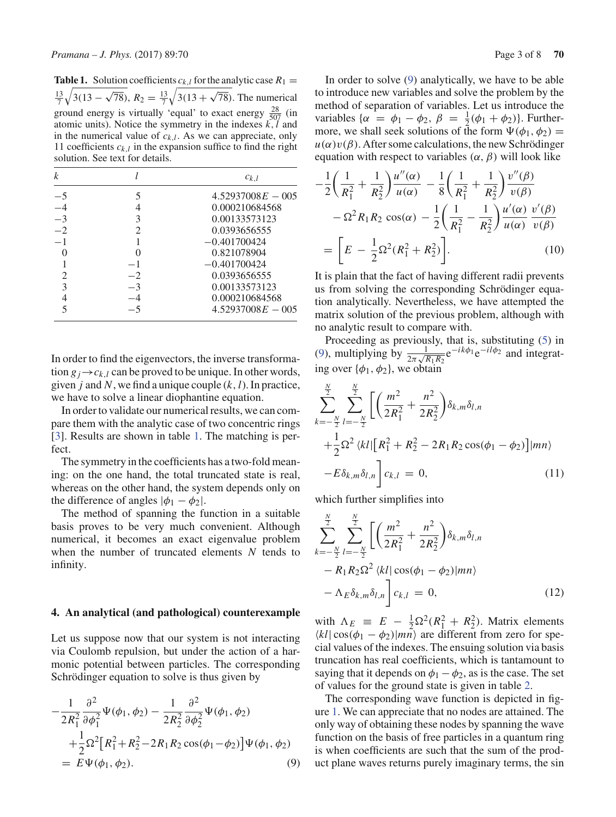**Table 1.** Solution coefficients  $c_{k,l}$  for the analytic case  $R_1 =$  $\frac{13}{7}$  $\sqrt{3(13-\sqrt{78})}, R_2 = \frac{13}{7}$  $\sqrt{3(13 + \sqrt{78})}$ . The numerical ground energy is virtually 'equal' to exact energy  $\frac{28}{507}$  (in atomic units). Notice the symmetry in the indexes *k*,*l* and in the numerical value of  $c_{k,l}$ . As we can appreciate, only 11 coefficients  $c_{k,l}$  in the expansion suffice to find the right solution. See text for details.

| k    |                             | $c_{k,l}$           |
|------|-----------------------------|---------------------|
| $-5$ |                             | $4.52937008E - 005$ |
| $-4$ |                             | 0.000210684568      |
| $-3$ | 3                           | 0.00133573123       |
| $-2$ | $\mathcal{D}_{\mathcal{L}}$ | 0.0393656555        |
| $-1$ |                             | $-0.401700424$      |
|      |                             | 0.821078904         |
|      | -1                          | $-0.401700424$      |
|      | $-2$                        | 0.0393656555        |
| 3    | -3                          | 0.00133573123       |
|      |                             | 0.000210684568      |
|      |                             | $4.52937008E - 005$ |

In order to find the eigenvectors, the inverse transformation  $g_j \rightarrow c_{k,l}$  can be proved to be unique. In other words, given *j* and *N*, we find a unique couple (*k*,*l*). In practice, we have to solve a linear diophantine equation.

In order to validate our numerical results, we can compare them with the analytic case of two concentric rings [3]. Results are shown in table 1. The matching is perfect.

The symmetry in the coefficients has a two-fold meaning: on the one hand, the total truncated state is real, whereas on the other hand, the system depends only on the difference of angles  $|\phi_1 - \phi_2|$ .

The method of spanning the function in a suitable basis proves to be very much convenient. Although numerical, it becomes an exact eigenvalue problem when the number of truncated elements *N* tends to infinity.

#### **4. An analytical (and pathological) counterexample**

Let us suppose now that our system is not interacting via Coulomb repulsion, but under the action of a harmonic potential between particles. The corresponding Schrödinger equation to solve is thus given by

$$
-\frac{1}{2R_1^2} \frac{\partial^2}{\partial \phi_1^2} \Psi(\phi_1, \phi_2) - \frac{1}{2R_2^2} \frac{\partial^2}{\partial \phi_2^2} \Psi(\phi_1, \phi_2)
$$
  
+
$$
\frac{1}{2} \Omega^2 [R_1^2 + R_2^2 - 2R_1 R_2 \cos(\phi_1 - \phi_2)] \Psi(\phi_1, \phi_2)
$$
  
=  $E \Psi(\phi_1, \phi_2).$  (9)

In order to solve (9) analytically, we have to be able to introduce new variables and solve the problem by the method of separation of variables. Let us introduce the variables { $\alpha = \phi_1 - \phi_2$ ,  $\beta = \frac{1}{2}(\phi_1 + \phi_2)$ }. Furthermore, we shall seek solutions of the form  $\Psi(\phi_1, \phi_2) =$  $u(\alpha)v(\beta)$ . After some calculations, the new Schrödinger equation with respect to variables  $(\alpha, \beta)$  will look like

$$
-\frac{1}{2}\left(\frac{1}{R_1^2} + \frac{1}{R_2^2}\right)\frac{u''(\alpha)}{u(\alpha)} - \frac{1}{8}\left(\frac{1}{R_1^2} + \frac{1}{R_2^2}\right)\frac{v''(\beta)}{v(\beta)}
$$

$$
-\Omega^2 R_1 R_2 \cos(\alpha) - \frac{1}{2}\left(\frac{1}{R_1^2} - \frac{1}{R_2^2}\right)\frac{u'(\alpha)}{u(\alpha)}\frac{v'(\beta)}{v(\beta)}
$$

$$
= \left[E - \frac{1}{2}\Omega^2(R_1^2 + R_2^2)\right].
$$
(10)

It is plain that the fact of having different radii prevents us from solving the corresponding Schrödinger equation analytically. Nevertheless, we have attempted the matrix solution of the previous problem, although with no analytic result to compare with.

Proceeding as previously, that is, substituting (5) in (9), multiplying by  $\frac{1}{2\pi\sqrt{R_1R_2}}e^{-ik\phi_1}e^{-il\phi_2}$  and integrating over  $\{\phi_1, \phi_2\}$ , we obtain

$$
\sum_{k=-\frac{N}{2}}^{\frac{N}{2}} \sum_{l=-\frac{N}{2}}^{\frac{N}{2}} \left[ \left( \frac{m^2}{2R_1^2} + \frac{n^2}{2R_2^2} \right) \delta_{k,m} \delta_{l,n} + \frac{1}{2} \Omega^2 \langle kl | \left[ R_1^2 + R_2^2 - 2R_1 R_2 \cos(\phi_1 - \phi_2) \right] | mn \rangle - E \delta_{k,m} \delta_{l,n} \right] c_{k,l} = 0,
$$
\n(11)

which further simplifies into

$$
\sum_{k=-\frac{N}{2}}^{\frac{N}{2}} \sum_{l=-\frac{N}{2}}^{\frac{N}{2}} \left[ \left( \frac{m^2}{2R_1^2} + \frac{n^2}{2R_2^2} \right) \delta_{k,m} \delta_{l,n} - R_1 R_2 \Omega^2 \langle kl | \cos(\phi_1 - \phi_2) | mn \rangle - \Lambda_E \delta_{k,m} \delta_{l,n} \right] c_{k,l} = 0, \qquad (12)
$$

with  $\Lambda_E \equiv E - \frac{1}{2} \Omega^2 (R_1^2 + R_2^2)$ . Matrix elements  $\langle kl | \cos(\phi_1 - \phi_2) | m\overline{n} \rangle$  are different from zero for special values of the indexes. The ensuing solution via basis truncation has real coefficients, which is tantamount to saying that it depends on  $\phi_1 - \phi_2$ , as is the case. The set of values for the ground state is given in table 2.

The corresponding wave function is depicted in figure 1. We can appreciate that no nodes are attained. The only way of obtaining these nodes by spanning the wave function on the basis of free particles in a quantum ring is when coefficients are such that the sum of the product plane waves returns purely imaginary terms, the sin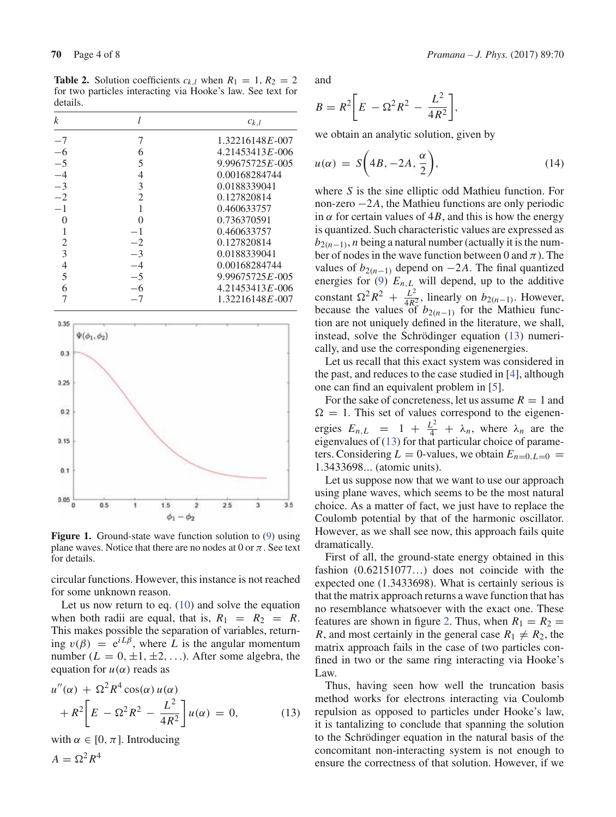**Table 2.** Solution coefficients  $c_{k,l}$  when  $R_1 = 1, R_2 = 2$ for two particles interacting via Hooke's law. See text for details.

| k    |                | $c_{k,l}$           |
|------|----------------|---------------------|
| $-7$ | 7              | $1.32216148E - 007$ |
| $-6$ | 6              | $4.21453413E - 006$ |
| $-5$ | 5              | $9.99675725E - 005$ |
| $-4$ | 4              | 0.00168284744       |
| $-3$ | 3              | 0.0188339041        |
| $-2$ | $\overline{2}$ | 0.127820814         |
| $-1$ | 1              | 0.460633757         |
| 0    | 0              | 0.736370591         |
|      | $-1$           | 0.460633757         |
| 2    | $-2$           | 0.127820814         |
| 3    | $-3$           | 0.0188339041        |
| 4    | $-4$           | 0.00168284744       |
| 5    | $-5$           | $9.99675725E - 005$ |
| 6    | -6             | $4.21453413E - 006$ |
|      |                | $1.32216148E - 007$ |



**Figure 1.** Ground-state wave function solution to (9) using plane waves. Notice that there are no nodes at 0 or  $\pi$ . See text for details.

circular functions. However, this instance is not reached for some unknown reason.

Let us now return to eq. (10) and solve the equation when both radii are equal, that is,  $R_1 = R_2 = R$ . This makes possible the separation of variables, returning  $v(\beta) = e^{iL\beta}$ , where L is the angular momentum number  $(L = 0, \pm 1, \pm 2, \ldots)$ . After some algebra, the equation for  $u(\alpha)$  reads as

$$
u''(\alpha) + \Omega^2 R^4 \cos(\alpha) u(\alpha)
$$
  
+ 
$$
R^2 \left[ E - \Omega^2 R^2 - \frac{L^2}{4R^2} \right] u(\alpha) = 0,
$$
 (13)

with  $\alpha \in [0, \pi]$ . Introducing

$$
A = \Omega^2 R^4
$$

**70** Page 4 of 8 *Pramana – J. Phys.* (2017) 89:70

and

$$
B = R^2 \bigg[ E - \Omega^2 R^2 - \frac{L^2}{4R^2} \bigg],
$$

we obtain an analytic solution, given by

$$
u(\alpha) = S\left(4B, -2A, \frac{\alpha}{2}\right),\tag{14}
$$

where *S* is the sine elliptic odd Mathieu function. For non-zero −2*A*, the Mathieu functions are only periodic in  $\alpha$  for certain values of 4*B*, and this is how the energy is quantized. Such characteristic values are expressed as  $b_{2(n-1)}$ , *n* being a natural number (actually it is the number of nodes in the wave function between 0 and  $\pi$ ). The values of  $b_{2(n-1)}$  depend on  $-2A$ . The final quantized energies for (9)  $E_{n,L}$  will depend, up to the additive constant  $\Omega^2 R^2 + \frac{L^2}{4R_0^2}$ , linearly on *b*<sub>2(*n*−1)</sub>. However, because the values of  $b_{2(n-1)}$  for the Mathieu function are not uniquely defined in the literature, we shall, instead, solve the Schrödinger equation (13) numerically, and use the corresponding eigenenergies.

Let us recall that this exact system was considered in the past, and reduces to the case studied in [4], although one can find an equivalent problem in [5].

For the sake of concreteness, let us assume  $R = 1$  and  $\Omega = 1$ . This set of values correspond to the eigenenergies  $E_{n,L} = 1 + \frac{L^2}{4} + \lambda_n$ , where  $\lambda_n$  are the eigenvalues of (13) for that particular choice of parameters. Considering  $L = 0$ -values, we obtain  $E_{n=0, L=0} =$ 1.3433698... (atomic units).

Let us suppose now that we want to use our approach using plane waves, which seems to be the most natural choice. As a matter of fact, we just have to replace the Coulomb potential by that of the harmonic oscillator. However, as we shall see now, this approach fails quite dramatically.

First of all, the ground-state energy obtained in this fashion (0.62151077…) does not coincide with the expected one (1.3433698). What is certainly serious is that the matrix approach returns a wave function that has no resemblance whatsoever with the exact one. These features are shown in figure 2. Thus, when  $R_1 = R_2$  = *R*, and most certainly in the general case  $R_1 \neq R_2$ , the matrix approach fails in the case of two particles confined in two or the same ring interacting via Hooke's Law.

Thus, having seen how well the truncation basis method works for electrons interacting via Coulomb repulsion as opposed to particles under Hooke's law, it is tantalizing to conclude that spanning the solution to the Schrödinger equation in the natural basis of the concomitant non-interacting system is not enough to ensure the correctness of that solution. However, if we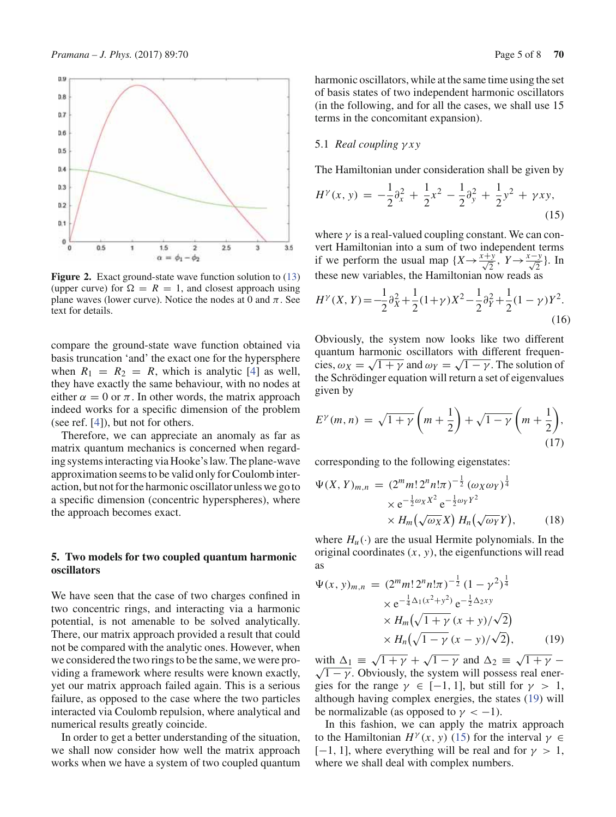

**Figure 2.** Exact ground-state wave function solution to (13) (upper curve) for  $\Omega = R = 1$ , and closest approach using plane waves (lower curve). Notice the nodes at 0 and  $\pi$ . See text for details.

compare the ground-state wave function obtained via basis truncation 'and' the exact one for the hypersphere when  $R_1 = R_2 = R$ , which is analytic [4] as well, they have exactly the same behaviour, with no nodes at either  $\alpha = 0$  or  $\pi$ . In other words, the matrix approach indeed works for a specific dimension of the problem (see ref. [4]), but not for others.

Therefore, we can appreciate an anomaly as far as matrix quantum mechanics is concerned when regarding systems interacting via Hooke's law. The plane-wave approximation seems to be valid only for Coulomb interaction, but not for the harmonic oscillator unless we go to a specific dimension (concentric hyperspheres), where the approach becomes exact.

### **5. Two models for two coupled quantum harmonic oscillators**

We have seen that the case of two charges confined in two concentric rings, and interacting via a harmonic potential, is not amenable to be solved analytically. There, our matrix approach provided a result that could not be compared with the analytic ones. However, when we considered the two rings to be the same, we were providing a framework where results were known exactly, yet our matrix approach failed again. This is a serious failure, as opposed to the case where the two particles interacted via Coulomb repulsion, where analytical and numerical results greatly coincide.

In order to get a better understanding of the situation, we shall now consider how well the matrix approach works when we have a system of two coupled quantum harmonic oscillators, while at the same time using the set of basis states of two independent harmonic oscillators (in the following, and for all the cases, we shall use 15 terms in the concomitant expansion).

#### 5.1 *Real coupling* γ *x y*

The Hamiltonian under consideration shall be given by

$$
H^{\gamma}(x, y) = -\frac{1}{2}\partial_x^2 + \frac{1}{2}x^2 - \frac{1}{2}\partial_y^2 + \frac{1}{2}y^2 + \gamma xy,
$$
\n(15)

where  $\gamma$  is a real-valued coupling constant. We can convert Hamiltonian into a sum of two independent terms if we perform the usual map  $\{X \rightarrow \frac{x+y}{\sqrt{2}}, Y \rightarrow \frac{x-y}{\sqrt{2}}\}$ . In these new variables, the Hamiltonian now reads as

$$
H^{\gamma}(X,Y) = -\frac{1}{2}\partial_X^2 + \frac{1}{2}(1+\gamma)X^2 - \frac{1}{2}\partial_Y^2 + \frac{1}{2}(1-\gamma)Y^2.
$$
\n(16)

Obviously, the system now looks like two different quantum harmonic oscillators with different frequencies,  $\omega_X = \sqrt{1 + \gamma}$  and  $\omega_Y = \sqrt{1 - \gamma}$ . The solution of the Schrödinger equation will return a set of eigenvalues given by

$$
E^{\gamma}(m,n) = \sqrt{1+\gamma} \left(m+\frac{1}{2}\right) + \sqrt{1-\gamma} \left(m+\frac{1}{2}\right),\tag{17}
$$

corresponding to the following eigenstates:

$$
\Psi(X, Y)_{m,n} = (2^m m! 2^n n! \pi)^{-\frac{1}{2}} (\omega_X \omega_Y)^{\frac{1}{4}}
$$

$$
\times e^{-\frac{1}{2}\omega_X X^2} e^{-\frac{1}{2}\omega_Y Y^2}
$$

$$
\times H_m(\sqrt{\omega_X} X) H_n(\sqrt{\omega_Y} Y), \qquad (18)
$$

where  $H_u(\cdot)$  are the usual Hermite polynomials. In the original coordinates  $(x, y)$ , the eigenfunctions will read as

$$
\Psi(x, y)_{m,n} = (2^m m! 2^n n! \pi)^{-\frac{1}{2}} (1 - \gamma^2)^{\frac{1}{4}}
$$
  
\n
$$
\times e^{-\frac{1}{4} \Delta_1 (x^2 + y^2)} e^{-\frac{1}{2} \Delta_2 xy}
$$
  
\n
$$
\times H_m(\sqrt{1 + \gamma} (x + y) / \sqrt{2})
$$
  
\n
$$
\times H_n(\sqrt{1 - \gamma} (x - y) / \sqrt{2}),
$$
 (19)

with  $\Delta_1 \equiv \sqrt{1 + \gamma} + \sqrt{1 - \gamma}$  and  $\Delta_2 \equiv \sqrt{1 + \gamma}$  $\sqrt{1-\gamma}$ . Obviously, the system will possess real energies for the range  $\gamma \in [-1, 1]$ , but still for  $\gamma > 1$ , although having complex energies, the states (19) will be normalizable (as opposed to  $\gamma < -1$ ).

In this fashion, we can apply the matrix approach to the Hamiltonian  $H^{\gamma}(x, y)$  (15) for the interval  $\gamma \in$ [-1, 1], where everything will be real and for  $\gamma > 1$ , where we shall deal with complex numbers.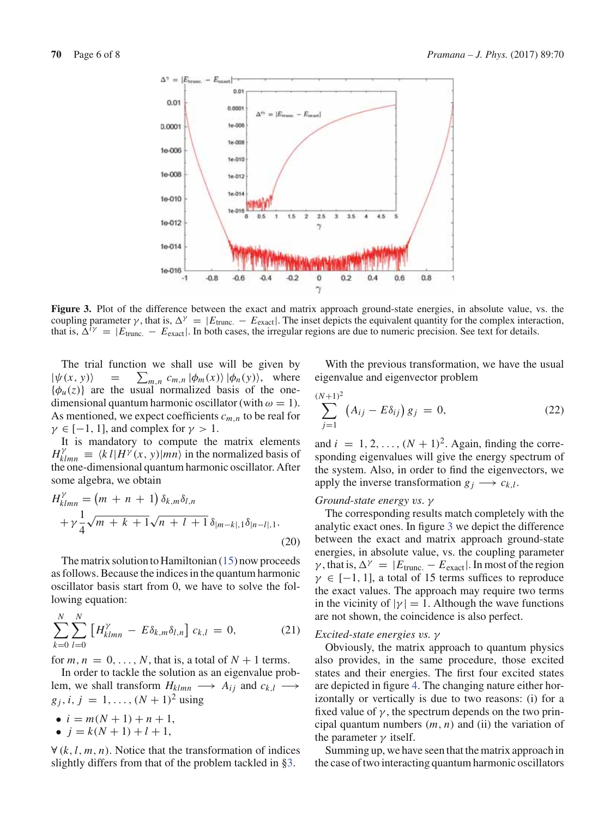

**Figure 3.** Plot of the difference between the exact and matrix approach ground-state energies, in absolute value, vs. the coupling parameter  $\gamma$ , that is,  $\Delta^{\gamma} = |E_{\text{trunc.}} - E_{\text{exact}}|$ . The inset depicts the equivalent quantity for the complex interaction, that is,  $\Delta^{i\gamma} = |E_{\text{trunc.}} - E_{\text{exact}}|$ . In both cases, the irregular regions are due to numeric precision. See text for details.

The trial function we shall use will be given by  $|\psi(x, y)\rangle$  =  $\sum_{m,n} c_{m,n} |\phi_m(x)\rangle |\phi_n(y)\rangle$ , where  ${\phi_u(z)}$  are the usual normalized basis of the onedimensional quantum harmonic oscillator (with  $\omega = 1$ ). As mentioned, we expect coefficients *cm*,*<sup>n</sup>* to be real for  $\gamma \in [-1, 1]$ , and complex for  $\gamma > 1$ .

It is mandatory to compute the matrix elements  $H_{klmn}^{\gamma} \equiv \langle k \, l | H^{\gamma}(x, y) | mn \rangle$  in the normalized basis of the one-dimensional quantum harmonic oscillator. After some algebra, we obtain

$$
H^{\gamma}_{klmn} = (m + n + 1) \, \delta_{k,m} \delta_{l,n} + \gamma \frac{1}{4} \sqrt{m + k + 1} \sqrt{n + l + 1} \, \delta_{|m-k|,1} \delta_{|n-l|,1}.
$$
\n(20)

The matrix solution to Hamiltonian (15) now proceeds as follows. Because the indices in the quantum harmonic oscillator basis start from 0, we have to solve the following equation:

$$
\sum_{k=0}^{N} \sum_{l=0}^{N} \left[ H_{klmn}^{\gamma} - E \delta_{k,m} \delta_{l,n} \right] c_{k,l} = 0, \qquad (21)
$$

for  $m, n = 0, \ldots, N$ , that is, a total of  $N + 1$  terms.

In order to tackle the solution as an eigenvalue problem, we shall transform  $H_{klmn} \longrightarrow A_{ij}$  and  $c_{k,l} \longrightarrow$  $g_i$ , *i*, *j* = 1, ...,  $(N + 1)^2$  using

$$
\bullet \ \ i = m(N+1) + n + 1,
$$

•  $j = k(N + 1) + l + 1$ ,

∀ (*k*,*l*, *m*, *n*). Notice that the transformation of indices slightly differs from that of the problem tackled in §3.

With the previous transformation, we have the usual eigenvalue and eigenvector problem

$$
\sum_{j=1}^{(N+1)^2} \left( A_{ij} - E \delta_{ij} \right) g_j = 0, \tag{22}
$$

and  $i = 1, 2, \ldots, (N + 1)^2$ . Again, finding the corresponding eigenvalues will give the energy spectrum of the system. Also, in order to find the eigenvectors, we apply the inverse transformation  $g_i \rightarrow c_{k,l}$ .

#### *Ground-state energy vs*. γ

The corresponding results match completely with the analytic exact ones. In figure 3 we depict the difference between the exact and matrix approach ground-state energies, in absolute value, vs. the coupling parameter  $\gamma$ , that is,  $\Delta^{\gamma} = |E_{\text{trunc.}} - E_{\text{exact}}|$ . In most of the region  $\gamma \in [-1, 1]$ , a total of 15 terms suffices to reproduce the exact values. The approach may require two terms in the vicinity of  $|\gamma| = 1$ . Although the wave functions are not shown, the coincidence is also perfect.

#### *Excited-state energies vs.* γ

Obviously, the matrix approach to quantum physics also provides, in the same procedure, those excited states and their energies. The first four excited states are depicted in figure 4. The changing nature either horizontally or vertically is due to two reasons: (i) for a fixed value of  $\gamma$ , the spectrum depends on the two principal quantum numbers (*m*, *n*) and (ii) the variation of the parameter  $\gamma$  itself.

Summing up, we have seen that the matrix approach in the case of two interacting quantum harmonic oscillators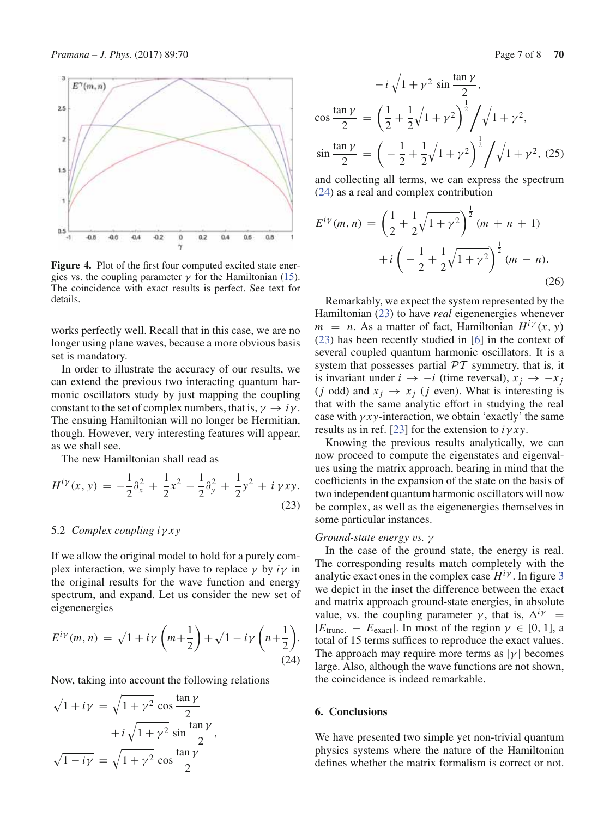

**Figure 4.** Plot of the first four computed excited state energies vs. the coupling parameter  $\gamma$  for the Hamiltonian (15). The coincidence with exact results is perfect. See text for details.

works perfectly well. Recall that in this case, we are no longer using plane waves, because a more obvious basis set is mandatory.

In order to illustrate the accuracy of our results, we can extend the previous two interacting quantum harmonic oscillators study by just mapping the coupling constant to the set of complex numbers, that is,  $\gamma \rightarrow i\gamma$ . The ensuing Hamiltonian will no longer be Hermitian, though. However, very interesting features will appear, as we shall see.

The new Hamiltonian shall read as

$$
H^{i\gamma}(x, y) = -\frac{1}{2}\partial_x^2 + \frac{1}{2}x^2 - \frac{1}{2}\partial_y^2 + \frac{1}{2}y^2 + i\gamma xy.
$$
\n(23)

#### 5.2 *Complex coupling i*γ *x y*

If we allow the original model to hold for a purely complex interaction, we simply have to replace  $\gamma$  by  $i\gamma$  in the original results for the wave function and energy spectrum, and expand. Let us consider the new set of eigenenergies

$$
E^{i\gamma}(m,n) = \sqrt{1+i\gamma} \left(m + \frac{1}{2}\right) + \sqrt{1-i\gamma} \left(n + \frac{1}{2}\right).
$$
\n(24)

Now, taking into account the following relations

$$
\sqrt{1 + i\gamma} = \sqrt{1 + \gamma^2} \cos \frac{\tan \gamma}{2}
$$

$$
+ i\sqrt{1 + \gamma^2} \sin \frac{\tan \gamma}{2},
$$

$$
\sqrt{1 - i\gamma} = \sqrt{1 + \gamma^2} \cos \frac{\tan \gamma}{2}
$$

$$
-i\sqrt{1+\gamma^2}\sin\frac{\tan\gamma}{2},
$$
  
\n
$$
\cos\frac{\tan\gamma}{2} = \left(\frac{1}{2} + \frac{1}{2}\sqrt{1+\gamma^2}\right)^{\frac{1}{2}} / \sqrt{1+\gamma^2},
$$
  
\n
$$
\sin\frac{\tan\gamma}{2} = \left(-\frac{1}{2} + \frac{1}{2}\sqrt{1+\gamma^2}\right)^{\frac{1}{2}} / \sqrt{1+\gamma^2},
$$
 (25)

and collecting all terms, we can express the spectrum (24) as a real and complex contribution

$$
E^{i\gamma}(m,n) = \left(\frac{1}{2} + \frac{1}{2}\sqrt{1+\gamma^2}\right)^{\frac{1}{2}}(m+n+1) + i\left(-\frac{1}{2} + \frac{1}{2}\sqrt{1+\gamma^2}\right)^{\frac{1}{2}}(m-n).
$$
\n(26)

Remarkably, we expect the system represented by the Hamiltonian (23) to have *real* eigenenergies whenever  $m = n$ . As a matter of fact, Hamiltonian  $H^{i\gamma}(x, y)$ (23) has been recently studied in [6] in the context of several coupled quantum harmonic oscillators. It is a system that possesses partial  $PT$  symmetry, that is, it is invariant under  $i \rightarrow -i$  (time reversal),  $x_i \rightarrow -x_i$ (*j* odd) and  $x_j \rightarrow x_j$  (*j* even). What is interesting is that with the same analytic effort in studying the real case with  $\gamma xy$ -interaction, we obtain 'exactly' the same results as in ref. [23] for the extension to  $i\gamma xy$ .

Knowing the previous results analytically, we can now proceed to compute the eigenstates and eigenvalues using the matrix approach, bearing in mind that the coefficients in the expansion of the state on the basis of two independent quantum harmonic oscillators will now be complex, as well as the eigenenergies themselves in some particular instances.

#### *Ground-state energy vs.* γ

In the case of the ground state, the energy is real. The corresponding results match completely with the analytic exact ones in the complex case  $H^{i\gamma}$ . In figure 3 we depict in the inset the difference between the exact and matrix approach ground-state energies, in absolute value, vs. the coupling parameter  $\gamma$ , that is,  $\Delta^{i\gamma}$  =  $|E_{\text{trunc.}} - E_{\text{exact}}|$ . In most of the region  $\gamma \in [0, 1]$ , a total of 15 terms suffices to reproduce the exact values. The approach may require more terms as  $|\gamma|$  becomes large. Also, although the wave functions are not shown, the coincidence is indeed remarkable.

#### **6. Conclusions**

We have presented two simple yet non-trivial quantum physics systems where the nature of the Hamiltonian defines whether the matrix formalism is correct or not.